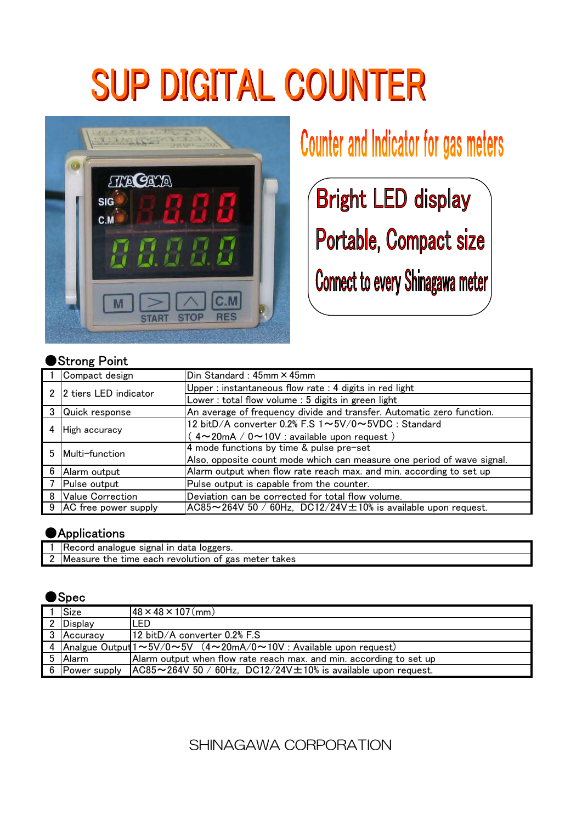# **SUP DIGITAL COUNTER**



### Counter and Indicator for gas meters

**Bright LED display** Portable, Compact size

**Connect to every Shinagawa meter** 

#### Strong Point

|   | Compact design         | Din Standard: 45mm × 45mm                                                 |
|---|------------------------|---------------------------------------------------------------------------|
| 2 | 2 tiers LED indicator  | Upper: instantaneous flow rate: 4 digits in red light                     |
|   |                        | Lower: total flow volume: 5 digits in green light                         |
|   | 3 Quick response       | An average of frequency divide and transfer. Automatic zero function.     |
| 4 | <b>High accuracy</b>   | 12 bitD/A converter 0.2% F.S 1~5V/0~5VDC : Standard                       |
|   |                        | $4 \sim 20$ mA / $0 \sim 10$ V : available upon request)                  |
| 5 | Multi-function         | 4 mode functions by time & pulse pre-set                                  |
|   |                        | Also, opposite count mode which can measure one period of wave signal.    |
| 6 | Alarm output           | Alarm output when flow rate reach max, and min, according to set up       |
|   | Pulse output           | Pulse output is capable from the counter.                                 |
|   | 8 Value Correction     | Deviation can be corrected for total flow volume.                         |
|   | 9 AC free power supply | $AC85 \sim 264V$ 50 / 60Hz, DC12/24V $\pm$ 10% is available upon request. |

#### **Applications**

| l analogue signal in data loggers.<br>Record                          |  |  |  |  |
|-----------------------------------------------------------------------|--|--|--|--|
| , the time each revolution of gas meter takes $\,$<br><b>IMeasure</b> |  |  |  |  |

#### ●Spec

|                | <b>Size</b>    | $48 \times 48 \times 107$ (mm)                                                             |
|----------------|----------------|--------------------------------------------------------------------------------------------|
| $\overline{2}$ | <b>Display</b> | ILED                                                                                       |
|                | 3 Accuracy     | 12 bitD/A converter 0.2% F.S                                                               |
|                |                | 4 Analgue Output $1 \sim 5V/0 \sim 5V$ $(4 \sim 20mA/0 \sim 10V$ : Available upon request) |
|                | 5 Alarm        | Alarm output when flow rate reach max. and min. according to set up                        |
|                | 6 Power supply | $AC85 \sim 264V$ 50 / 60Hz, DC12/24V $\pm$ 10% is available upon request.                  |

SHINAGAWA CORPORATION